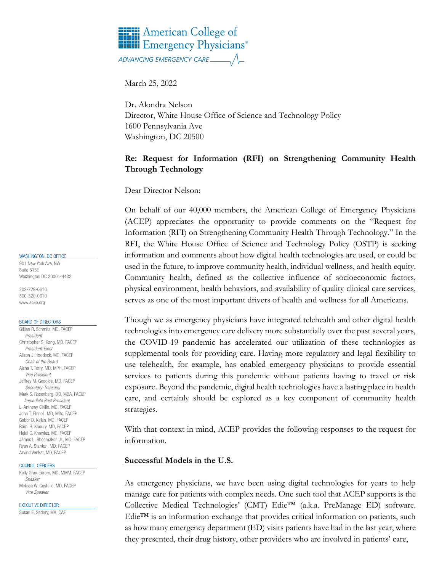# **HERE** American College of **HILLE** Emergency Physicians<sup>®</sup> ADVANCING EMERGENCY CARE  $\_\_\_\_\_\_\_\_\$

March 25, 2022

Dr. Alondra Nelson Director, White House Office of Science and Technology Policy 1600 Pennsylvania Ave Washington, DC 20500

### **Re: Request for Information (RFI) on Strengthening Community Health Through Technology**

Dear Director Nelson:

On behalf of our 40,000 members, the American College of Emergency Physicians (ACEP) appreciates the opportunity to provide comments on the "Request for Information (RFI) on Strengthening Community Health Through Technology." In the RFI, the White House Office of Science and Technology Policy (OSTP) is seeking information and comments about how digital health technologies are used, or could be used in the future, to improve community health, individual wellness, and health equity. Community health, defined as the collective influence of socioeconomic factors, physical environment, health behaviors, and availability of quality clinical care services, serves as one of the most important drivers of health and wellness for all Americans.

Though we as emergency physicians have integrated telehealth and other digital health technologies into emergency care delivery more substantially over the past several years, the COVID-19 pandemic has accelerated our utilization of these technologies as supplemental tools for providing care. Having more regulatory and legal flexibility to use telehealth, for example, has enabled emergency physicians to provide essential services to patients during this pandemic without patients having to travel or risk exposure. Beyond the pandemic, digital health technologies have a lasting place in health care, and certainly should be explored as a key component of community health strategies.

With that context in mind, ACEP provides the following responses to the request for information.

### **Successful Models in the U.S.**

As emergency physicians, we have been using digital technologies for years to help manage care for patients with complex needs. One such tool that ACEP supports is the Collective Medical Technologies' (CMT) Edie™ (a.k.a. PreManage ED) software. Edie<sup>TM</sup> is an information exchange that provides critical information on patients, such as how many emergency department (ED) visits patients have had in the last year, where they presented, their drug history, other providers who are involved in patients' care,

**WASHINGTON, DC OFFICE** 

901 New York Ave, NW Suite 515F Washington DC 20001-4432

202-728-0610 800-320-0610 www.acep.org

#### **BOARD OF DIRECTORS**

Gillian R. Schmitz, MD, FACEP President Christopher S. Kang, MD, FACEP President-Elect Alison J. Haddock, MD, FACEP Chair of the Board Aisha T. Terry, MD, MPH, FACEP *Vice President* Jeffrey M. Goodloe, MD, FACEP Secretary-Treasurer Mark S. Rosenberg, DO, MBA, FACEP Immediate Past President L. Anthony Cirillo, MD, FACEP John T. Finnell, MD, MSc, FACEP Gabor D. Kelen, MD, FACEP Rami R. Khoury, MD, FACEP Heidi C. Knowles, MD, FACEP James L. Shoemaker, Jr., MD, FACEP Ryan A. Stanton, MD, FACEP Arvind Venkat, MD, FACEP

#### COUNCIL OFFICERS

Kelly Gray-Eurom, MD, MMM, FACEP Sneaker Melissa W. Costello, MD, FACEP Vice Speaker

**EXECUTIVE DIRECTOR** 

Susan E. Sedory, MA, CAE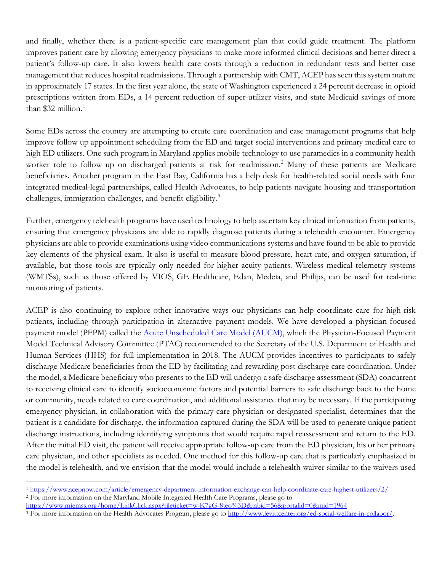and finally, whether there is a patient-specific care management plan that could guide treatment. The platform improves patient care by allowing emergency physicians to make more informed clinical decisions and better direct a patient's follow-up care. It also lowers health care costs through a reduction in redundant tests and better case management that reduces hospital readmissions. Through a partnership with CMT, ACEP has seen this system mature in approximately 17 states. In the first year alone, the state of Washington experienced a 24 percent decrease in opioid prescriptions written from EDs, a 14 percent reduction of super-utilizer visits, and state Medicaid savings of more than \$32 million. $1$ 

Some EDs across the country are attempting to create care coordination and case management programs that help improve follow up appointment scheduling from the ED and target social interventions and primary medical care to high ED utilizers. One such program in Maryland applies mobile technology to use paramedics in a community health worker role to follow up on discharged patients at risk for readmission.<sup>[2](#page-1-1)</sup> Many of these patients are Medicare beneficiaries. Another program in the East Bay, California has a help desk for health-related social needs with four integrated medical-legal partnerships, called Health Advocates, to help patients navigate housing and transportation challenges, immigration challenges, and benefit eligibility.<sup>[3](#page-1-2)</sup>

Further, emergency telehealth programs have used technology to help ascertain key clinical information from patients, ensuring that emergency physicians are able to rapidly diagnose patients during a telehealth encounter. Emergency physicians are able to provide examinations using video communications systems and have found to be able to provide key elements of the physical exam. It also is useful to measure blood pressure, heart rate, and oxygen saturation, if available, but those tools are typically only needed for higher acuity patients. Wireless medical telemetry systems (WMTSs), such as those offered by VIOS, GE Healthcare, Edan, Medeia, and Philips, can be used for real-time monitoring of patients.

ACEP is also continuing to explore other innovative ways our physicians can help coordinate care for high-risk patients, including through participation in alternative payment models. We have developed a physician-focused payment model (PFPM) called the [Acute Unscheduled Care Model \(AUCM\),](https://www.acep.org/apm) which the Physician-Focused Payment Model Technical Advisory Committee (PTAC) recommended to the Secretary of the U.S. Department of Health and Human Services (HHS) for full implementation in 2018. The AUCM provides incentives to participants to safely discharge Medicare beneficiaries from the ED by facilitating and rewarding post discharge care coordination. Under the model, a Medicare beneficiary who presents to the ED will undergo a safe discharge assessment (SDA) concurrent to receiving clinical care to identify socioeconomic factors and potential barriers to safe discharge back to the home or community, needs related to care coordination, and additional assistance that may be necessary. If the participating emergency physician, in collaboration with the primary care physician or designated specialist, determines that the patient is a candidate for discharge, the information captured during the SDA will be used to generate unique patient discharge instructions, including identifying symptoms that would require rapid reassessment and return to the ED. After the initial ED visit, the patient will receive appropriate follow-up care from the ED physician, his or her primary care physician, and other specialists as needed. One method for this follow-up care that is particularly emphasized in the model is telehealth, and we envision that the model would include a telehealth waiver similar to the waivers used

<span id="page-1-1"></span><span id="page-1-0"></span><sup>1</sup> <https://www.acepnow.com/article/emergency-department-information-exchange-can-help-coordinate-care-highest-utilizers/2/> <sup>2</sup> For more information on the Maryland Mobile Integrated Health Care Programs, please go to

<https://www.miemss.org/home/LinkClick.aspx?fileticket=w-K7gG-8teo%3D&tabid=56&portalid=0&mid=1964>

<span id="page-1-2"></span><sup>3</sup> For more information on the Health Advocates Program, please go t[o http://www.levittcenter.org/ed-social-welfare-in-collabor/.](http://www.levittcenter.org/ed-social-welfare-in-collabor/)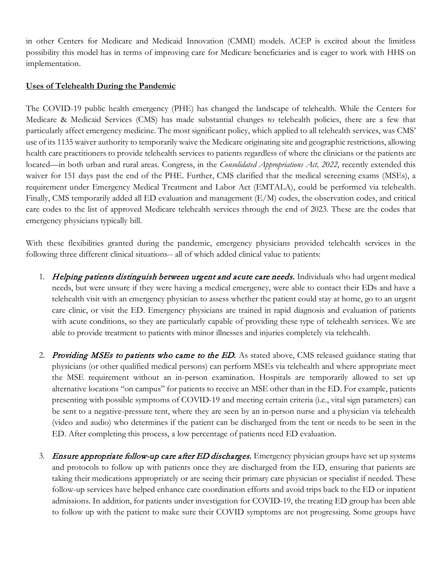in other Centers for Medicare and Medicaid Innovation (CMMI) models. ACEP is excited about the limitless possibility this model has in terms of improving care for Medicare beneficiaries and is eager to work with HHS on implementation.

### **Uses of Telehealth During the Pandemic**

The COVID-19 public health emergency (PHE) has changed the landscape of telehealth. While the Centers for Medicare & Medicaid Services (CMS) has made substantial changes to telehealth policies, there are a few that particularly affect emergency medicine. The most significant policy, which applied to all telehealth services, was CMS' use of its 1135 waiver authority to temporarily waive the Medicare originating site and geographic restrictions, allowing health care practitioners to provide telehealth services to patients regardless of where the clinicians or the patients are located—in both urban and rural areas. Congress, in the *Consolidated Appropriations Act, 2022*, recently extended this waiver for 151 days past the end of the PHE. Further, CMS clarified that the medical screening exams (MSEs), a requirement under Emergency Medical Treatment and Labor Act (EMTALA), could be performed via telehealth. Finally, CMS temporarily added all ED evaluation and management (E/M) codes, the observation codes, and critical care codes to the list of approved Medicare telehealth services through the end of 2023. These are the codes that emergency physicians typically bill.

With these flexibilities granted during the pandemic, emergency physicians provided telehealth services in the following three different clinical situations-- all of which added clinical value to patients:

- 1. Helping patients distinguish between urgent and acute care needs. Individuals who had urgent medical needs, but were unsure if they were having a medical emergency, were able to contact their EDs and have a telehealth visit with an emergency physician to assess whether the patient could stay at home, go to an urgent care clinic, or visit the ED. Emergency physicians are trained in rapid diagnosis and evaluation of patients with acute conditions, so they are particularly capable of providing these type of telehealth services. We are able to provide treatment to patients with minor illnesses and injuries completely via telehealth.
- 2. Providing MSEs to patients who came to the ED. As stated above, CMS released guidance stating that physicians (or other qualified medical persons) can perform MSEs via telehealth and where appropriate meet the MSE requirement without an in-person examination. Hospitals are temporarily allowed to set up alternative locations "on campus" for patients to receive an MSE other than in the ED. For example, patients presenting with possible symptoms of COVID-19 and meeting certain criteria (i.e., vital sign parameters) can be sent to a negative-pressure tent, where they are seen by an in-person nurse and a physician via telehealth (video and audio) who determines if the patient can be discharged from the tent or needs to be seen in the ED. After completing this process, a low percentage of patients need ED evaluation.
- 3. Ensure appropriate follow-up care after ED discharges. Emergency physician groups have set up systems and protocols to follow up with patients once they are discharged from the ED, ensuring that patients are taking their medications appropriately or are seeing their primary care physician or specialist if needed. These follow-up services have helped enhance care coordination efforts and avoid trips back to the ED or inpatient admissions. In addition, for patients under investigation for COVID-19, the treating ED group has been able to follow up with the patient to make sure their COVID symptoms are not progressing. Some groups have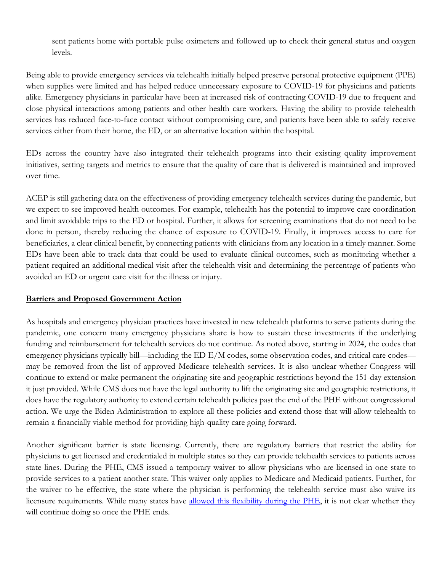sent patients home with portable pulse oximeters and followed up to check their general status and oxygen levels.

Being able to provide emergency services via telehealth initially helped preserve personal protective equipment (PPE) when supplies were limited and has helped reduce unnecessary exposure to COVID-19 for physicians and patients alike. Emergency physicians in particular have been at increased risk of contracting COVID-19 due to frequent and close physical interactions among patients and other health care workers. Having the ability to provide telehealth services has reduced face-to-face contact without compromising care, and patients have been able to safely receive services either from their home, the ED, or an alternative location within the hospital.

EDs across the country have also integrated their telehealth programs into their existing quality improvement initiatives, setting targets and metrics to ensure that the quality of care that is delivered is maintained and improved over time.

ACEP is still gathering data on the effectiveness of providing emergency telehealth services during the pandemic, but we expect to see improved health outcomes. For example, telehealth has the potential to improve care coordination and limit avoidable trips to the ED or hospital. Further, it allows for screening examinations that do not need to be done in person, thereby reducing the chance of exposure to COVID-19. Finally, it improves access to care for beneficiaries, a clear clinical benefit, by connecting patients with clinicians from any location in a timely manner. Some EDs have been able to track data that could be used to evaluate clinical outcomes, such as monitoring whether a patient required an additional medical visit after the telehealth visit and determining the percentage of patients who avoided an ED or urgent care visit for the illness or injury.

## **Barriers and Proposed Government Action**

As hospitals and emergency physician practices have invested in new telehealth platforms to serve patients during the pandemic, one concern many emergency physicians share is how to sustain these investments if the underlying funding and reimbursement for telehealth services do not continue. As noted above, starting in 2024, the codes that emergency physicians typically bill—including the ED E/M codes, some observation codes, and critical care codes may be removed from the list of approved Medicare telehealth services. It is also unclear whether Congress will continue to extend or make permanent the originating site and geographic restrictions beyond the 151-day extension it just provided. While CMS does not have the legal authority to lift the originating site and geographic restrictions, it does have the regulatory authority to extend certain telehealth policies past the end of the PHE without congressional action. We urge the Biden Administration to explore all these policies and extend those that will allow telehealth to remain a financially viable method for providing high-quality care going forward.

Another significant barrier is state licensing. Currently, there are regulatory barriers that restrict the ability for physicians to get licensed and credentialed in multiple states so they can provide telehealth services to patients across state lines. During the PHE, CMS issued a temporary waiver to allow physicians who are licensed in one state to provide services to a patient another state. This waiver only applies to Medicare and Medicaid patients. Further, for the waiver to be effective, the state where the physician is performing the telehealth service must also waive its licensure requirements. While many states have [allowed this flexibility during the PHE,](https://www.fsmb.org/siteassets/advocacy/pdf/states-waiving-licensure-requirements-for-telehealth-in-response-to-covid-19.pdf) it is not clear whether they will continue doing so once the PHE ends.